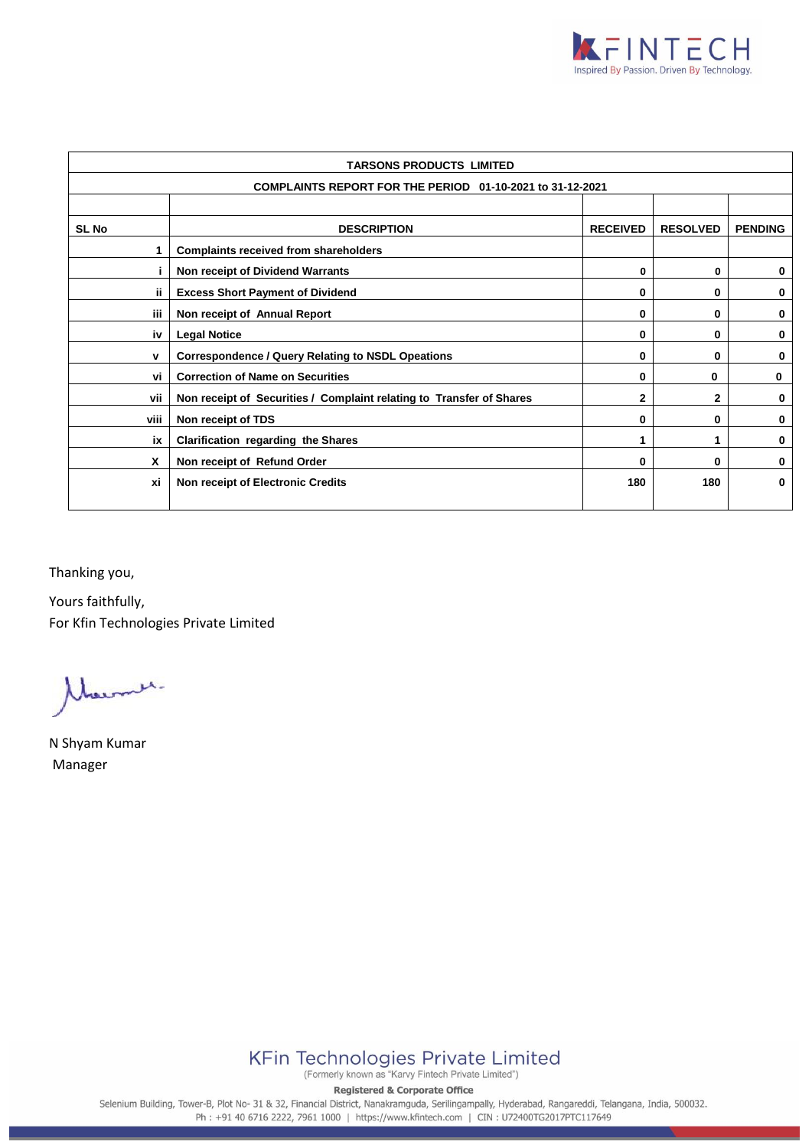

| TARSONS PRODUCTS LIMITED                                  |                                                                                                           |  |  |  |  |  |  |
|-----------------------------------------------------------|-----------------------------------------------------------------------------------------------------------|--|--|--|--|--|--|
| COMPLAINTS REPORT FOR THE PERIOD 01-10-2021 to 31-12-2021 |                                                                                                           |  |  |  |  |  |  |
|                                                           |                                                                                                           |  |  |  |  |  |  |
| <b>SL No</b>                                              | <b>DESCRIPTION</b><br><b>RECEIVED</b><br><b>RESOLVED</b><br><b>PENDING</b>                                |  |  |  |  |  |  |
| 1                                                         | <b>Complaints received from shareholders</b>                                                              |  |  |  |  |  |  |
|                                                           | Non receipt of Dividend Warrants<br>0<br>0                                                                |  |  |  |  |  |  |
| ii.                                                       | <b>Excess Short Payment of Dividend</b><br>0<br>0<br>0                                                    |  |  |  |  |  |  |
| iii.                                                      | Non receipt of Annual Report<br>0<br>0                                                                    |  |  |  |  |  |  |
| iv                                                        | <b>Legal Notice</b><br>0<br>0                                                                             |  |  |  |  |  |  |
| v                                                         | <b>Correspondence / Query Relating to NSDL Opeations</b><br>0<br>0                                        |  |  |  |  |  |  |
| vi                                                        | <b>Correction of Name on Securities</b><br>0                                                              |  |  |  |  |  |  |
| vii                                                       | Non receipt of Securities / Complaint relating to Transfer of Shares<br>$\mathbf{2}$<br>$\mathbf{2}$<br>0 |  |  |  |  |  |  |
| viii                                                      | Non receipt of TDS<br>0<br>0<br>0                                                                         |  |  |  |  |  |  |
| ix                                                        | <b>Clarification regarding the Shares</b><br>0<br>1                                                       |  |  |  |  |  |  |
| X                                                         | Non receipt of Refund Order<br>0<br>0<br>0                                                                |  |  |  |  |  |  |
| xi                                                        | 180<br>180<br>0<br><b>Non receipt of Electronic Credits</b>                                               |  |  |  |  |  |  |

Thanking you,

Yours faithfully, For Kfin Technologies Private Limited

Marmer.

N Shyam Kumar Manager



**Registered & Corporate Office** 

Selenium Building, Tower-B, Plot No- 31 & 32, Financial District, Nanakramguda, Serilingampally, Hyderabad, Rangareddi, Telangana, India, 500032. Ph: +91 40 6716 2222, 7961 1000 | https://www.kfintech.com | CIN: U72400TG2017PTC117649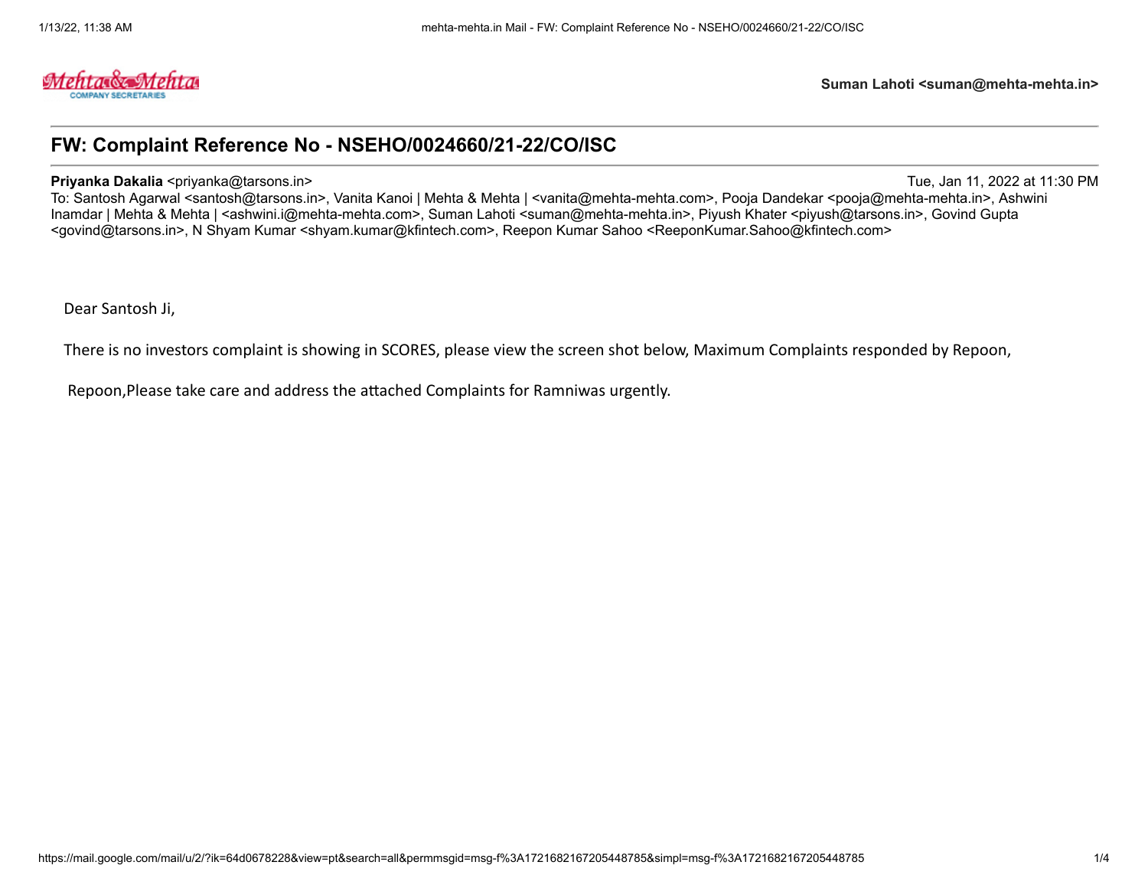

# **FW: Complaint Reference No - NSEHO/0024660/21-22/CO/ISC**

**Priyanka Dakalia <priyanka@tarsons.in>** Tue, Jan 11, 2022 at 11:30 PM

To: Santosh Agarwal <santosh@tarsons.in>, Vanita Kanoi | Mehta & Mehta | <vanita@mehta-mehta.com>, Pooja Dandekar <pooja@mehta-mehta.in>, Ashwini Inamdar | Mehta & Mehta | <ashwini.i@mehta-mehta.com>, Suman Lahoti <suman@mehta-mehta.in>, Piyush Khater <piyush@tarsons.in>, Govind Gupta <govind@tarsons.in>, N Shyam Kumar <shyam.kumar@kfintech.com>, Reepon Kumar Sahoo <ReeponKumar.Sahoo@kfintech.com>

Dear Santosh Ji,

There is no investors complaint is showing in SCORES, please view the screen shot below, Maximum Complaints responded by Repoon,

Repoon,Please take care and address the attached Complaints for Ramniwas urgently.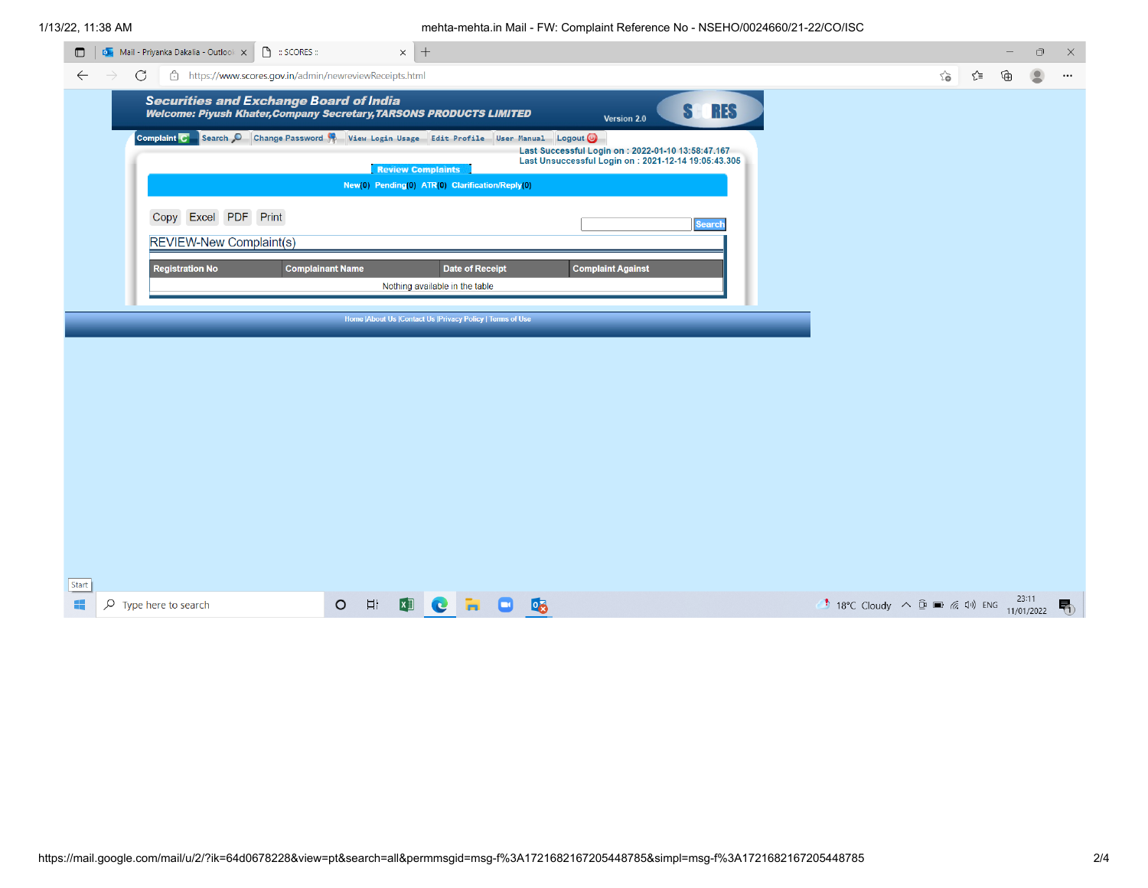### 1/13/22, 11:38 AM mehta-mehta.in Mail - FW: Complaint Reference No - NSEHO/0024660/21-22/CO/ISC

| $\Box$                                                       | $\bigcirc$ : SCORES :<br><b>De</b> Mail - Priyanka Dakalia - Outlook X                                                      | $\times$ +                                                                  |                        |                              |                                                                                                           |                 |                                                           |        |     |   | $\Box$                  | $\times$ |
|--------------------------------------------------------------|-----------------------------------------------------------------------------------------------------------------------------|-----------------------------------------------------------------------------|------------------------|------------------------------|-----------------------------------------------------------------------------------------------------------|-----------------|-----------------------------------------------------------|--------|-----|---|-------------------------|----------|
| C<br>$\leftarrow$<br>$\rightarrow$                           | https://www.scores.gov.in/admin/newreviewReceipts.html                                                                      |                                                                             |                        |                              |                                                                                                           |                 |                                                           | $\sim$ | ∕`≡ | ⊕ | $\overline{\mathbf{2}}$ | $\cdots$ |
|                                                              | <b>Securities and Exchange Board of India</b><br><b>Welcome: Piyush Khater, Company Secretary, TARSONS PRODUCTS LIMITED</b> |                                                                             |                        |                              | Version 2.0                                                                                               | <b>RES</b><br>S |                                                           |        |     |   |                         |          |
|                                                              | Complaint C Search C Change Password & View Login Usage Edit Profile User Manual Logout O                                   |                                                                             |                        |                              | Last Successful Login on : 2022-01-10 13:58:47.167<br>Last Unsuccessful Login on: 2021-12-14 19:05:43.305 |                 |                                                           |        |     |   |                         |          |
|                                                              |                                                                                                                             | <b>Review Complaints</b><br>New(0) Pending(0) ATR(0) Clarification/Reply(0) |                        |                              |                                                                                                           |                 |                                                           |        |     |   |                         |          |
| Copy                                                         | Excel PDF Print                                                                                                             |                                                                             |                        |                              |                                                                                                           | <b>Search</b>   |                                                           |        |     |   |                         |          |
|                                                              | <b>REVIEW-New Complaint(s)</b>                                                                                              |                                                                             |                        |                              |                                                                                                           |                 |                                                           |        |     |   |                         |          |
|                                                              | <b>Registration No</b>                                                                                                      | <b>Complainant Name</b>                                                     | <b>Date of Receipt</b> |                              | <b>Complaint Against</b>                                                                                  |                 |                                                           |        |     |   |                         |          |
|                                                              |                                                                                                                             | Nothing available in the table                                              |                        |                              |                                                                                                           |                 |                                                           |        |     |   |                         |          |
| Home   About Us   Contact Us   Privacy Policy   Terms of Use |                                                                                                                             |                                                                             |                        |                              |                                                                                                           |                 |                                                           |        |     |   |                         |          |
|                                                              |                                                                                                                             |                                                                             |                        |                              |                                                                                                           |                 |                                                           |        |     |   |                         |          |
|                                                              |                                                                                                                             |                                                                             |                        |                              |                                                                                                           |                 |                                                           |        |     |   |                         |          |
|                                                              |                                                                                                                             |                                                                             |                        |                              |                                                                                                           |                 |                                                           |        |     |   |                         |          |
|                                                              |                                                                                                                             |                                                                             |                        |                              |                                                                                                           |                 |                                                           |        |     |   |                         |          |
|                                                              |                                                                                                                             |                                                                             |                        |                              |                                                                                                           |                 |                                                           |        |     |   |                         |          |
|                                                              |                                                                                                                             |                                                                             |                        |                              |                                                                                                           |                 |                                                           |        |     |   |                         |          |
|                                                              |                                                                                                                             |                                                                             |                        |                              |                                                                                                           |                 |                                                           |        |     |   |                         |          |
|                                                              |                                                                                                                             |                                                                             |                        |                              |                                                                                                           |                 |                                                           |        |     |   |                         |          |
|                                                              |                                                                                                                             |                                                                             |                        |                              |                                                                                                           |                 |                                                           |        |     |   |                         |          |
| Start                                                        |                                                                                                                             |                                                                             |                        |                              |                                                                                                           |                 |                                                           |        |     |   |                         |          |
| ÷<br>$\rho$ Type here to search                              |                                                                                                                             | $\Xi^{\dagger}$<br>$\circ$<br>$\mathbf{x}$<br>$\bullet$                     | <b>COL</b>             | $\overline{\mathsf{B}}$<br>o |                                                                                                           |                 | <b>18°C</b> Cloudy $\land$ <b>0 m</b> (2 1) ENG $^{2511}$ |        |     |   |                         | 喝        |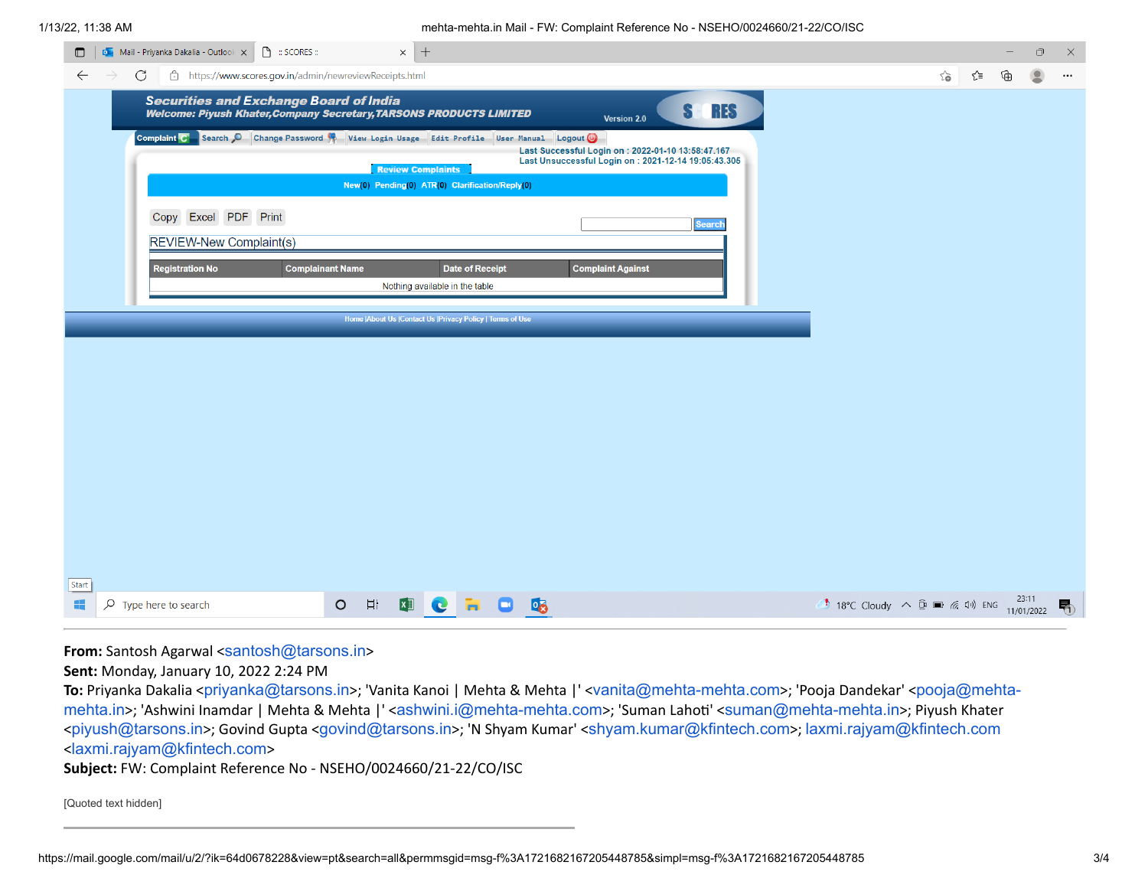## 1/13/22, 11:38 AM mehta-mehta.in Mail - FW: Complaint Reference No - NSEHO/0024660/21-22/CO/ISC

|                | 3/22, 11.30 AM                                                                                                              | Tribita-mentalin Mail - FW. Complaint Reference NO - NOEHO/0024000/21-22/CO/10C                                                         |
|----------------|-----------------------------------------------------------------------------------------------------------------------------|-----------------------------------------------------------------------------------------------------------------------------------------|
| $\blacksquare$ | $\times$ +<br><b>DE</b> Mail - Priyanka Dakalia - Outlook X<br>$\bigcap$ : SCORES :                                         | $\mathsf{X}% _{0}$<br>$\Box$                                                                                                            |
|                | $\leftarrow$<br>$\mathcal{C}$<br>https://www.scores.gov.in/admin/newreviewReceipts.html<br>$\rightarrow$                    | $\vec{c}$<br>∕`≡<br>⊕<br>$\bullet$<br>$\cdots$                                                                                          |
|                | <b>Securities and Exchange Board of India</b><br><b>Welcome: Piyush Khater, Company Secretary, TARSONS PRODUCTS LIMITED</b> | <b>RES</b><br><b>SH</b><br>Version 2.0                                                                                                  |
|                | Complaint C Search C Change Password W View Login Usage Edit Profile User Manual Logout C<br><b>Review Complaints</b>       | Last Successful Login on : 2022-01-10 13:58:47.167<br>Last Unsuccessful Login on : 2021-12-14 19:05:43.305                              |
|                | New(0) Pending(0) ATR(0) Clarification/Reply(0)                                                                             |                                                                                                                                         |
|                | Copy Excel PDF Print<br><b>REVIEW-New Complaint(s)</b>                                                                      | <b>Search</b>                                                                                                                           |
|                | <b>Registration No</b><br><b>Complainant Name</b><br><b>Date of Receipt</b><br>Nothing available in the table               | <b>Complaint Against</b>                                                                                                                |
|                | Home   About Us   Contact Us   Privacy Policy   Terms of Use                                                                |                                                                                                                                         |
|                |                                                                                                                             |                                                                                                                                         |
|                |                                                                                                                             |                                                                                                                                         |
|                |                                                                                                                             |                                                                                                                                         |
|                |                                                                                                                             |                                                                                                                                         |
|                |                                                                                                                             |                                                                                                                                         |
|                |                                                                                                                             |                                                                                                                                         |
|                |                                                                                                                             |                                                                                                                                         |
|                |                                                                                                                             |                                                                                                                                         |
|                |                                                                                                                             |                                                                                                                                         |
| Start          |                                                                                                                             |                                                                                                                                         |
| 疆              | $\overline{=}$<br><b>DCHOC</b><br>$\circ$<br>$O$ Type here to search                                                        | 23:11<br><b>1</b> 18°C Cloudy $\land$ $\bar{\mathbb{Q}}$ $\equiv$ $\mathbb{Z}$ $\downarrow$ $\downarrow$ ENG $\frac{23.11}{11/01/2022}$ |

**From:** Santosh Agarwal <[santosh@tarsons.in](mailto:santosh@tarsons.in)>

**Sent:** Monday, January 10, 2022 2:24 PM

To: Priyanka Dakalia <[priyanka@tarsons.in](mailto:priyanka@tarsons.in)>; 'Vanita Kanoi | Mehta & Mehta |' <[vanita@mehta-mehta.com](mailto:vanita@mehta-mehta.com)>; 'Pooja Dandekar' <pooja@mehtamehta.in>; 'Ashwini Inamdar | Mehta & Mehta |' <[ashwini.i@mehta-mehta.com](mailto:pooja@mehta-mehta.in)>; 'Suman Lahoti' <[suman@mehta-mehta.in](mailto:suman@mehta-mehta.in)>; Piyush Khater <[piyush@tarsons.in](mailto:piyush@tarsons.in)>; Govind Gupta <[govind@tarsons.in](mailto:govind@tarsons.in)>; 'N Shyam Kumar' <[shyam.kumar@kfintech.com](mailto:shyam.kumar@kfintech.com)>; [laxmi.rajyam@kfintech.com](mailto:laxmi.rajyam@kfintech.com) <[laxmi.rajyam@kfintech.com](mailto:laxmi.rajyam@kfintech.com)>

**Subject:** FW: Complaint Reference No - NSEHO/0024660/21-22/CO/ISC

[Quoted text hidden]